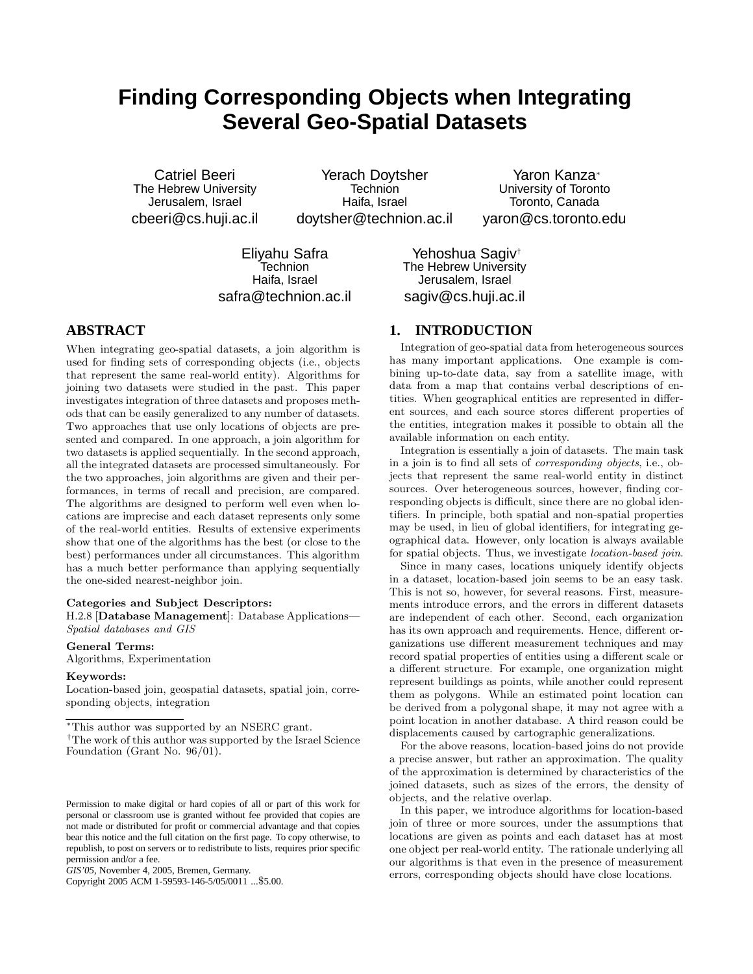# **Finding Corresponding Objects when Integrating Several Geo-Spatial Datasets**

Catriel Beeri The Hebrew University Jerusalem, Israel cbeeri@cs.huji.ac.il

Yerach Doytsher **Technion** Haifa, Israel doytsher@technion.ac.il

Yaron Kanza<sup>∗</sup> University of Toronto Toronto, Canada yaron@cs.toronto.edu

Eliyahu Safra **Technion** Haifa, Israel safra@technion.ac.il

# **ABSTRACT**

When integrating geo-spatial datasets, a join algorithm is used for finding sets of corresponding objects (i.e., objects that represent the same real-world entity). Algorithms for joining two datasets were studied in the past. This paper investigates integration of three datasets and proposes methods that can be easily generalized to any number of datasets. Two approaches that use only locations of objects are presented and compared. In one approach, a join algorithm for two datasets is applied sequentially. In the second approach, all the integrated datasets are processed simultaneously. For the two approaches, join algorithms are given and their performances, in terms of recall and precision, are compared. The algorithms are designed to perform well even when locations are imprecise and each dataset represents only some of the real-world entities. Results of extensive experiments show that one of the algorithms has the best (or close to the best) performances under all circumstances. This algorithm has a much better performance than applying sequentially the one-sided nearest-neighbor join.

#### Categories and Subject Descriptors:

H.2.8 [Database Management]: Database Applications— Spatial databases and GIS

#### General Terms:

Algorithms, Experimentation

#### Keywords:

Location-based join, geospatial datasets, spatial join, corresponding objects, integration

Copyright 2005 ACM 1-59593-146-5/05/0011 ...\$5.00.

The Hebrew University Jerusalem, Israel sagiv@cs.huji.ac.il

Yehoshua Sagiv†

## **1. INTRODUCTION**

Integration of geo-spatial data from heterogeneous sources has many important applications. One example is combining up-to-date data, say from a satellite image, with data from a map that contains verbal descriptions of entities. When geographical entities are represented in different sources, and each source stores different properties of the entities, integration makes it possible to obtain all the available information on each entity.

Integration is essentially a join of datasets. The main task in a join is to find all sets of corresponding objects, i.e., objects that represent the same real-world entity in distinct sources. Over heterogeneous sources, however, finding corresponding objects is difficult, since there are no global identifiers. In principle, both spatial and non-spatial properties may be used, in lieu of global identifiers, for integrating geographical data. However, only location is always available for spatial objects. Thus, we investigate location-based join.

Since in many cases, locations uniquely identify objects in a dataset, location-based join seems to be an easy task. This is not so, however, for several reasons. First, measurements introduce errors, and the errors in different datasets are independent of each other. Second, each organization has its own approach and requirements. Hence, different organizations use different measurement techniques and may record spatial properties of entities using a different scale or a different structure. For example, one organization might represent buildings as points, while another could represent them as polygons. While an estimated point location can be derived from a polygonal shape, it may not agree with a point location in another database. A third reason could be displacements caused by cartographic generalizations.

For the above reasons, location-based joins do not provide a precise answer, but rather an approximation. The quality of the approximation is determined by characteristics of the joined datasets, such as sizes of the errors, the density of objects, and the relative overlap.

In this paper, we introduce algorithms for location-based join of three or more sources, under the assumptions that locations are given as points and each dataset has at most one object per real-world entity. The rationale underlying all our algorithms is that even in the presence of measurement errors, corresponding objects should have close locations.

<sup>∗</sup>This author was supported by an NSERC grant.

<sup>&</sup>lt;sup>†</sup>The work of this author was supported by the Israel Science Foundation (Grant No. 96/01).

Permission to make digital or hard copies of all or part of this work for personal or classroom use is granted without fee provided that copies are not made or distributed for profit or commercial advantage and that copies bear this notice and the full citation on the first page. To copy otherwise, to republish, to post on servers or to redistribute to lists, requires prior specific permission and/or a fee.

*GIS'05,* November 4, 2005, Bremen, Germany.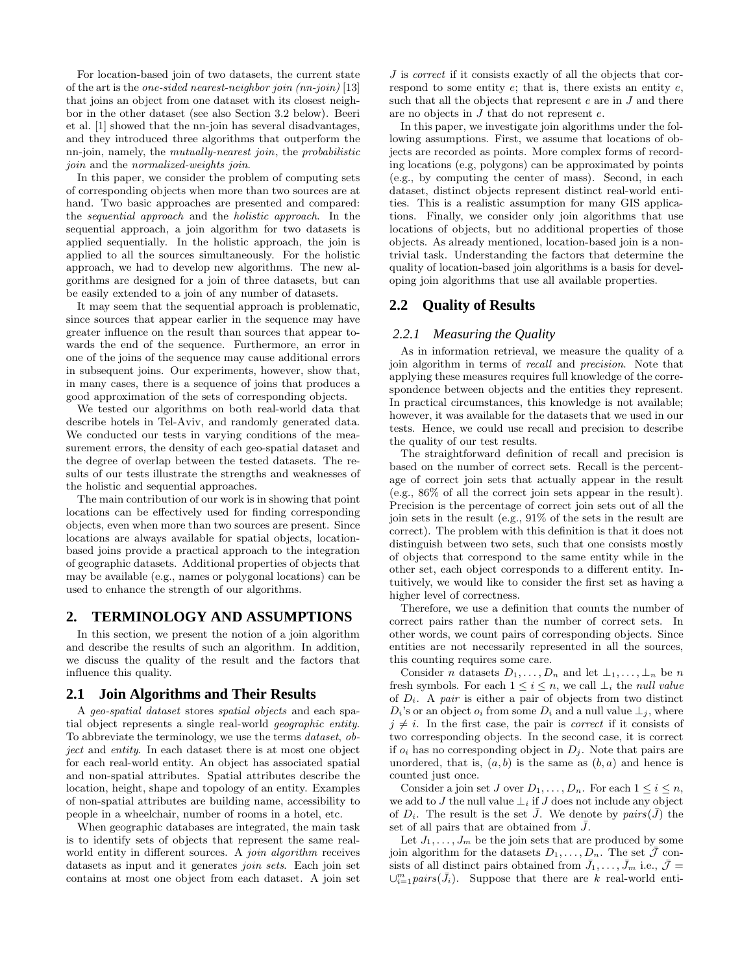For location-based join of two datasets, the current state of the art is the one-sided nearest-neighbor join (nn-join) [13] that joins an object from one dataset with its closest neighbor in the other dataset (see also Section 3.2 below). Beeri et al. [1] showed that the nn-join has several disadvantages, and they introduced three algorithms that outperform the nn-join, namely, the *mutually-nearest join*, the *probabilistic* join and the normalized-weights join.

In this paper, we consider the problem of computing sets of corresponding objects when more than two sources are at hand. Two basic approaches are presented and compared: the sequential approach and the holistic approach. In the sequential approach, a join algorithm for two datasets is applied sequentially. In the holistic approach, the join is applied to all the sources simultaneously. For the holistic approach, we had to develop new algorithms. The new algorithms are designed for a join of three datasets, but can be easily extended to a join of any number of datasets.

It may seem that the sequential approach is problematic, since sources that appear earlier in the sequence may have greater influence on the result than sources that appear towards the end of the sequence. Furthermore, an error in one of the joins of the sequence may cause additional errors in subsequent joins. Our experiments, however, show that, in many cases, there is a sequence of joins that produces a good approximation of the sets of corresponding objects.

We tested our algorithms on both real-world data that describe hotels in Tel-Aviv, and randomly generated data. We conducted our tests in varying conditions of the measurement errors, the density of each geo-spatial dataset and the degree of overlap between the tested datasets. The results of our tests illustrate the strengths and weaknesses of the holistic and sequential approaches.

The main contribution of our work is in showing that point locations can be effectively used for finding corresponding objects, even when more than two sources are present. Since locations are always available for spatial objects, locationbased joins provide a practical approach to the integration of geographic datasets. Additional properties of objects that may be available (e.g., names or polygonal locations) can be used to enhance the strength of our algorithms.

## **2. TERMINOLOGY AND ASSUMPTIONS**

In this section, we present the notion of a join algorithm and describe the results of such an algorithm. In addition, we discuss the quality of the result and the factors that influence this quality.

#### **2.1 Join Algorithms and Their Results**

A geo-spatial dataset stores spatial objects and each spatial object represents a single real-world geographic entity. To abbreviate the terminology, we use the terms dataset, object and entity. In each dataset there is at most one object for each real-world entity. An object has associated spatial and non-spatial attributes. Spatial attributes describe the location, height, shape and topology of an entity. Examples of non-spatial attributes are building name, accessibility to people in a wheelchair, number of rooms in a hotel, etc.

When geographic databases are integrated, the main task is to identify sets of objects that represent the same realworld entity in different sources. A *join algorithm* receives datasets as input and it generates *join sets*. Each join set contains at most one object from each dataset. A join set J is correct if it consists exactly of all the objects that correspond to some entity  $e$ ; that is, there exists an entity  $e$ , such that all the objects that represent  $e$  are in  $J$  and there are no objects in J that do not represent e.

In this paper, we investigate join algorithms under the following assumptions. First, we assume that locations of objects are recorded as points. More complex forms of recording locations (e.g, polygons) can be approximated by points (e.g., by computing the center of mass). Second, in each dataset, distinct objects represent distinct real-world entities. This is a realistic assumption for many GIS applications. Finally, we consider only join algorithms that use locations of objects, but no additional properties of those objects. As already mentioned, location-based join is a nontrivial task. Understanding the factors that determine the quality of location-based join algorithms is a basis for developing join algorithms that use all available properties.

# **2.2 Quality of Results**

## *2.2.1 Measuring the Quality*

As in information retrieval, we measure the quality of a join algorithm in terms of recall and precision. Note that applying these measures requires full knowledge of the correspondence between objects and the entities they represent. In practical circumstances, this knowledge is not available; however, it was available for the datasets that we used in our tests. Hence, we could use recall and precision to describe the quality of our test results.

The straightforward definition of recall and precision is based on the number of correct sets. Recall is the percentage of correct join sets that actually appear in the result (e.g., 86% of all the correct join sets appear in the result). Precision is the percentage of correct join sets out of all the join sets in the result (e.g., 91% of the sets in the result are correct). The problem with this definition is that it does not distinguish between two sets, such that one consists mostly of objects that correspond to the same entity while in the other set, each object corresponds to a different entity. Intuitively, we would like to consider the first set as having a higher level of correctness.

Therefore, we use a definition that counts the number of correct pairs rather than the number of correct sets. In other words, we count pairs of corresponding objects. Since entities are not necessarily represented in all the sources, this counting requires some care.

Consider n datasets  $D_1, \ldots, D_n$  and let  $\bot_1, \ldots, \bot_n$  be n fresh symbols. For each  $1 \leq i \leq n$ , we call  $\perp_i$  the *null value* of  $D_i$ . A pair is either a pair of objects from two distinct  $D_i$ 's or an object  $o_i$  from some  $D_i$  and a null value  $\perp_i$ , where  $j \neq i$ . In the first case, the pair is *correct* if it consists of two corresponding objects. In the second case, it is correct if  $o_i$  has no corresponding object in  $D_i$ . Note that pairs are unordered, that is,  $(a, b)$  is the same as  $(b, a)$  and hence is counted just once.

Consider a join set J over  $D_1, \ldots, D_n$ . For each  $1 \leq i \leq n$ , we add to J the null value  $\perp_i$  if J does not include any object of  $D_i$ . The result is the set J. We denote by  $pairs(J)$  the set of all pairs that are obtained from  $J$ .

Let  $J_1, \ldots, J_m$  be the join sets that are produced by some join algorithm for the datasets  $D_1, \ldots, D_n$ . The set  $\bar{\mathcal{J}}$  consists of all distinct pairs obtained from  $\bar{J}_1, \ldots, \bar{J}_m$  i.e.,  $\bar{\mathcal{J}} =$  $\cup_{i=1}^m pairs(\bar{J}_i)$ . Suppose that there are k real-world enti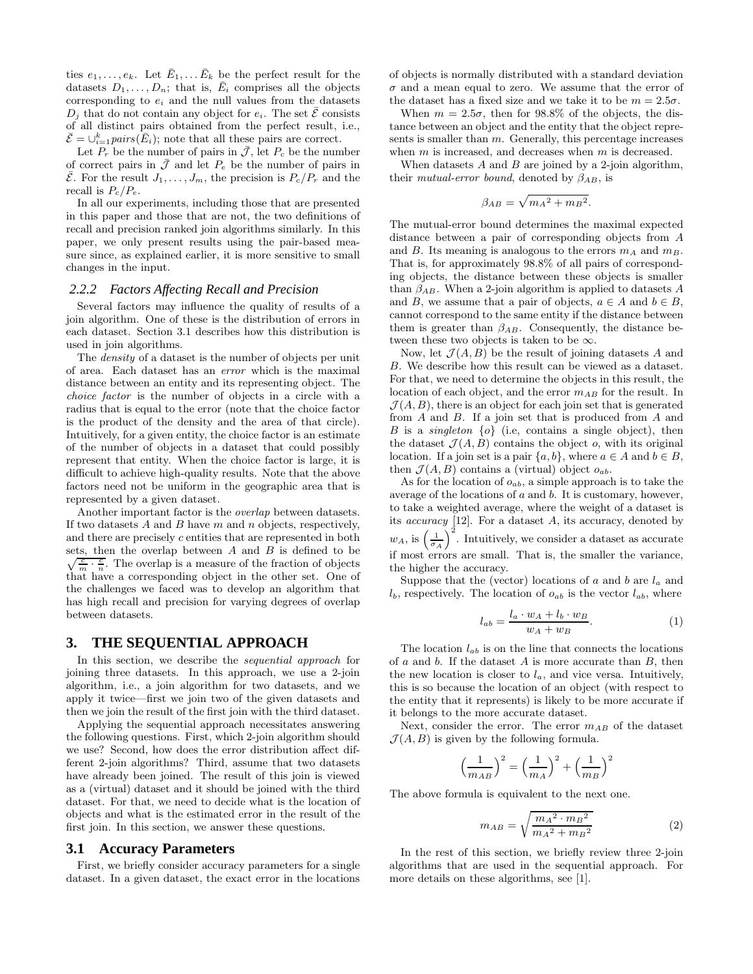ties  $e_1, \ldots, e_k$ . Let  $\bar{E}_1, \ldots, \bar{E}_k$  be the perfect result for the datasets  $D_1, \ldots, D_n$ ; that is,  $\overline{E}_i$  comprises all the objects corresponding to  $e_i$  and the null values from the datasets  $D_i$  that do not contain any object for  $e_i$ . The set  $\bar{\mathcal{E}}$  consists of all distinct pairs obtained from the perfect result, i.e.,  $\bar{\mathcal{E}} = \bigcup_{i=1}^k pairs(\bar{E}_i);$  note that all these pairs are correct.

Let  $P_r$  be the number of pairs in  $\mathcal{J}$ , let  $P_c$  be the number of correct pairs in  $\mathcal J$  and let  $P_e$  be the number of pairs in  $\mathcal{E}$ . For the result  $J_1, \ldots, J_m$ , the precision is  $P_c/P_r$  and the recall is  $P_c/P_e$ .

In all our experiments, including those that are presented in this paper and those that are not, the two definitions of recall and precision ranked join algorithms similarly. In this paper, we only present results using the pair-based measure since, as explained earlier, it is more sensitive to small changes in the input.

#### *2.2.2 Factors Affecting Recall and Precision*

Several factors may influence the quality of results of a join algorithm. One of these is the distribution of errors in each dataset. Section 3.1 describes how this distribution is used in join algorithms.

The density of a dataset is the number of objects per unit of area. Each dataset has an error which is the maximal distance between an entity and its representing object. The choice factor is the number of objects in a circle with a radius that is equal to the error (note that the choice factor is the product of the density and the area of that circle). Intuitively, for a given entity, the choice factor is an estimate of the number of objects in a dataset that could possibly represent that entity. When the choice factor is large, it is difficult to achieve high-quality results. Note that the above factors need not be uniform in the geographic area that is represented by a given dataset.

Another important factor is the overlap between datasets. If two datasets  $A$  and  $B$  have  $m$  and  $n$  objects, respectively, and there are precisely c entities that are represented in both  $\sqrt{\frac{c}{m} \cdot \frac{c}{n}}$ . The overlap is a measure of the fraction of objects sets, then the overlap between  $A$  and  $B$  is defined to be that have a corresponding object in the other set. One of the challenges we faced was to develop an algorithm that has high recall and precision for varying degrees of overlap between datasets.

## **3. THE SEQUENTIAL APPROACH**

In this section, we describe the sequential approach for joining three datasets. In this approach, we use a 2-join algorithm, i.e., a join algorithm for two datasets, and we apply it twice—first we join two of the given datasets and then we join the result of the first join with the third dataset.

Applying the sequential approach necessitates answering the following questions. First, which 2-join algorithm should we use? Second, how does the error distribution affect different 2-join algorithms? Third, assume that two datasets have already been joined. The result of this join is viewed as a (virtual) dataset and it should be joined with the third dataset. For that, we need to decide what is the location of objects and what is the estimated error in the result of the first join. In this section, we answer these questions.

#### **3.1 Accuracy Parameters**

First, we briefly consider accuracy parameters for a single dataset. In a given dataset, the exact error in the locations of objects is normally distributed with a standard deviation  $\sigma$  and a mean equal to zero. We assume that the error of the dataset has a fixed size and we take it to be  $m = 2.5\sigma$ .

When  $m = 2.5\sigma$ , then for 98.8% of the objects, the distance between an object and the entity that the object represents is smaller than  $m$ . Generally, this percentage increases when  $m$  is increased, and decreases when  $m$  is decreased.

When datasets  $A$  and  $B$  are joined by a 2-join algorithm. their mutual-error bound, denoted by  $\beta_{AB}$ , is

$$
\beta_{AB} = \sqrt{m_A^2 + m_B^2}.
$$

The mutual-error bound determines the maximal expected distance between a pair of corresponding objects from A and B. Its meaning is analogous to the errors  $m_A$  and  $m_B$ . That is, for approximately 98.8% of all pairs of corresponding objects, the distance between these objects is smaller than  $\beta_{AB}$ . When a 2-join algorithm is applied to datasets A and B, we assume that a pair of objects,  $a \in A$  and  $b \in B$ , cannot correspond to the same entity if the distance between them is greater than  $\beta_{AB}$ . Consequently, the distance between these two objects is taken to be  $\infty$ .

Now, let  $\mathcal{J}(A, B)$  be the result of joining datasets A and B. We describe how this result can be viewed as a dataset. For that, we need to determine the objects in this result, the location of each object, and the error  $m_{AB}$  for the result. In  $\mathcal{J}(A, B)$ , there is an object for each join set that is generated from A and B. If a join set that is produced from A and B is a *singleton*  $\{o\}$  (i.e, contains a single object), then the dataset  $\mathcal{J}(A, B)$  contains the object o, with its original location. If a join set is a pair  $\{a, b\}$ , where  $a \in A$  and  $b \in B$ , then  $\mathcal{J}(A, B)$  contains a (virtual) object  $o_{ab}$ .

As for the location of  $o_{ab}$ , a simple approach is to take the average of the locations of a and b. It is customary, however, to take a weighted average, where the weight of a dataset is its  $accuracy$  [12]. For a dataset  $A$ , its accuracy, denoted by  $w_A$ , is  $\left(\frac{1}{\sigma_A}\right)^2$ . Intuitively, we consider a dataset as accurate if most errors are small. That is, the smaller the variance, the higher the accuracy.

Suppose that the (vector) locations of a and b are  $l_a$  and  $l_b$ , respectively. The location of  $o_{ab}$  is the vector  $l_{ab}$ , where

$$
l_{ab} = \frac{l_a \cdot w_A + l_b \cdot w_B}{w_A + w_B}.
$$
 (1)

The location  $l_{ab}$  is on the line that connects the locations of  $a$  and  $b$ . If the dataset  $A$  is more accurate than  $B$ , then the new location is closer to  $l_a$ , and vice versa. Intuitively, this is so because the location of an object (with respect to the entity that it represents) is likely to be more accurate if it belongs to the more accurate dataset.

Next, consider the error. The error  $m_{AB}$  of the dataset  $\mathcal{J}(A, B)$  is given by the following formula.

$$
\left(\frac{1}{m_{AB}}\right)^2 = \left(\frac{1}{m_A}\right)^2 + \left(\frac{1}{m_B}\right)^2
$$

The above formula is equivalent to the next one.

$$
m_{AB} = \sqrt{\frac{m_A^2 \cdot m_B^2}{m_A^2 + m_B^2}}
$$
 (2)

In the rest of this section, we briefly review three 2-join algorithms that are used in the sequential approach. For more details on these algorithms, see [1].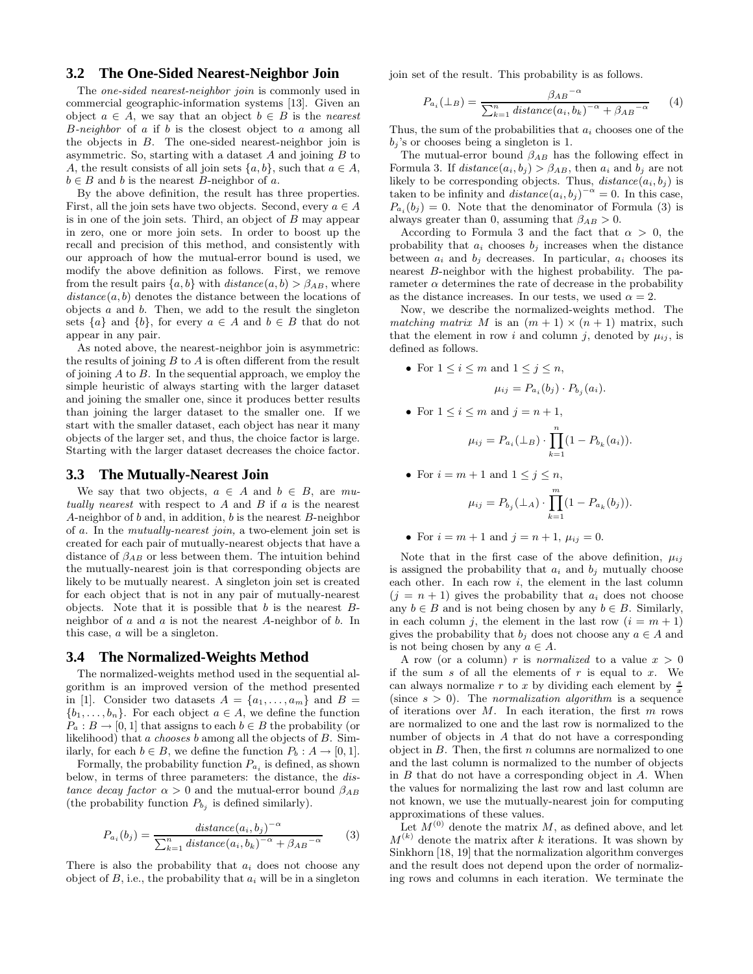# **3.2 The One-Sided Nearest-Neighbor Join**

The *one-sided nearest-neighbor join* is commonly used in commercial geographic-information systems [13]. Given an object  $a \in A$ , we say that an object  $b \in B$  is the nearest  $B\text{-}neighbor$  of a if b is the closest object to a among all the objects in B. The one-sided nearest-neighbor join is asymmetric. So, starting with a dataset  $A$  and joining  $B$  to A, the result consists of all join sets  $\{a, b\}$ , such that  $a \in A$ ,  $b \in B$  and b is the nearest B-neighbor of a.

By the above definition, the result has three properties. First, all the join sets have two objects. Second, every  $a \in A$ is in one of the join sets. Third, an object of B may appear in zero, one or more join sets. In order to boost up the recall and precision of this method, and consistently with our approach of how the mutual-error bound is used, we modify the above definition as follows. First, we remove from the result pairs  $\{a, b\}$  with  $distance(a, b) > \beta_{AB}$ , where  $distance(a, b)$  denotes the distance between the locations of objects  $a$  and  $b$ . Then, we add to the result the singleton sets  $\{a\}$  and  $\{b\}$ , for every  $a \in A$  and  $b \in B$  that do not appear in any pair.

As noted above, the nearest-neighbor join is asymmetric: the results of joining  $B$  to  $A$  is often different from the result of joining  $A$  to  $B$ . In the sequential approach, we employ the simple heuristic of always starting with the larger dataset and joining the smaller one, since it produces better results than joining the larger dataset to the smaller one. If we start with the smaller dataset, each object has near it many objects of the larger set, and thus, the choice factor is large. Starting with the larger dataset decreases the choice factor.

# **3.3 The Mutually-Nearest Join**

We say that two objects,  $a \in A$  and  $b \in B$ , are mutually nearest with respect to  $A$  and  $B$  if  $a$  is the nearest A-neighbor of  $b$  and, in addition,  $b$  is the nearest  $B$ -neighbor of a. In the mutually-nearest join, a two-element join set is created for each pair of mutually-nearest objects that have a distance of  $\beta_{AB}$  or less between them. The intuition behind the mutually-nearest join is that corresponding objects are likely to be mutually nearest. A singleton join set is created for each object that is not in any pair of mutually-nearest objects. Note that it is possible that  $b$  is the nearest  $B$ neighbor of a and a is not the nearest A-neighbor of b. In this case, a will be a singleton.

## **3.4 The Normalized-Weights Method**

The normalized-weights method used in the sequential algorithm is an improved version of the method presented in [1]. Consider two datasets  $A = \{a_1, \ldots, a_m\}$  and  $B =$  $\{b_1, \ldots, b_n\}$ . For each object  $a \in A$ , we define the function  $P_a: B \to [0, 1]$  that assigns to each  $b \in B$  the probability (or likelihood) that a chooses b among all the objects of B. Similarly, for each  $b \in B$ , we define the function  $P_b: A \to [0, 1]$ .

Formally, the probability function  $P_{a_i}$  is defined, as shown below, in terms of three parameters: the distance, the distance decay factor  $\alpha > 0$  and the mutual-error bound  $\beta_{AB}$ (the probability function  $P_{b_j}$  is defined similarly).

$$
P_{a_i}(b_j) = \frac{distance(a_i, b_j)^{-\alpha}}{\sum_{k=1}^n \text{distance}(a_i, b_k)^{-\alpha} + \beta_{AB}^{-\alpha}}
$$
(3)

There is also the probability that  $a_i$  does not choose any object of  $B$ , i.e., the probability that  $a_i$  will be in a singleton join set of the result. This probability is as follows.

$$
P_{a_i}(\perp_B) = \frac{\beta_{AB}^{-\alpha}}{\sum_{k=1}^n \text{distance}(a_i, b_k)^{-\alpha} + \beta_{AB}^{-\alpha}} \tag{4}
$$

Thus, the sum of the probabilities that  $a_i$  chooses one of the  $b_j$ 's or chooses being a singleton is 1.

The mutual-error bound  $\beta_{AB}$  has the following effect in Formula 3. If  $distance(a_i, b_j) > \beta_{AB}$ , then  $a_i$  and  $b_j$  are not likely to be corresponding objects. Thus,  $distance(a_i, b_j)$  is taken to be infinity and  $distance(a_i, b_j)^{-\alpha} = 0$ . In this case,  $P_{a_i}(b_j) = 0$ . Note that the denominator of Formula (3) is always greater than 0, assuming that  $\beta_{AB} > 0$ .

According to Formula 3 and the fact that  $\alpha > 0$ , the probability that  $a_i$  chooses  $b_j$  increases when the distance between  $a_i$  and  $b_j$  decreases. In particular,  $a_i$  chooses its nearest B-neighbor with the highest probability. The parameter  $\alpha$  determines the rate of decrease in the probability as the distance increases. In our tests, we used  $\alpha = 2$ .

Now, we describe the normalized-weights method. The matching matrix M is an  $(m + 1) \times (n + 1)$  matrix, such that the element in row i and column j, denoted by  $\mu_{ij}$ , is defined as follows.

• For  $1 \leq i \leq m$  and  $1 \leq j \leq n$ ,

$$
\mu_{ij} = P_{a_i}(b_j) \cdot P_{b_j}(a_i).
$$

• For  $1 \leq i \leq m$  and  $j = n + 1$ ,

$$
\mu_{ij} = P_{a_i}(\perp B) \cdot \prod_{k=1}^n (1 - P_{b_k}(a_i)).
$$

• For  $i = m + 1$  and  $1 \leq j \leq n$ ,

$$
\mu_{ij} = P_{b_j}(\perp_A) \cdot \prod_{k=1}^m (1 - P_{a_k}(b_j)).
$$

• For  $i = m + 1$  and  $j = n + 1$ ,  $\mu_{ij} = 0$ .

Note that in the first case of the above definition,  $\mu_{ij}$ is assigned the probability that  $a_i$  and  $b_j$  mutually choose each other. In each row  $i$ , the element in the last column  $(j = n + 1)$  gives the probability that  $a_i$  does not choose any  $b \in B$  and is not being chosen by any  $b \in B$ . Similarly, in each column j, the element in the last row  $(i = m + 1)$ gives the probability that  $b_j$  does not choose any  $a \in A$  and is not being chosen by any  $a \in A$ .

A row (or a column) r is *normalized* to a value  $x > 0$ if the sum s of all the elements of  $r$  is equal to  $x$ . We can always normalize r to x by dividing each element by  $\frac{s}{x}$ (since  $s > 0$ ). The *normalization algorithm* is a sequence of iterations over  $M$ . In each iteration, the first  $m$  rows are normalized to one and the last row is normalized to the number of objects in A that do not have a corresponding object in  $B$ . Then, the first  $n$  columns are normalized to one and the last column is normalized to the number of objects in  $B$  that do not have a corresponding object in  $A$ . When the values for normalizing the last row and last column are not known, we use the mutually-nearest join for computing approximations of these values.

Let  $M^{(0)}$  denote the matrix M, as defined above, and let  $M^{(k)}$  denote the matrix after k iterations. It was shown by Sinkhorn [18, 19] that the normalization algorithm converges and the result does not depend upon the order of normalizing rows and columns in each iteration. We terminate the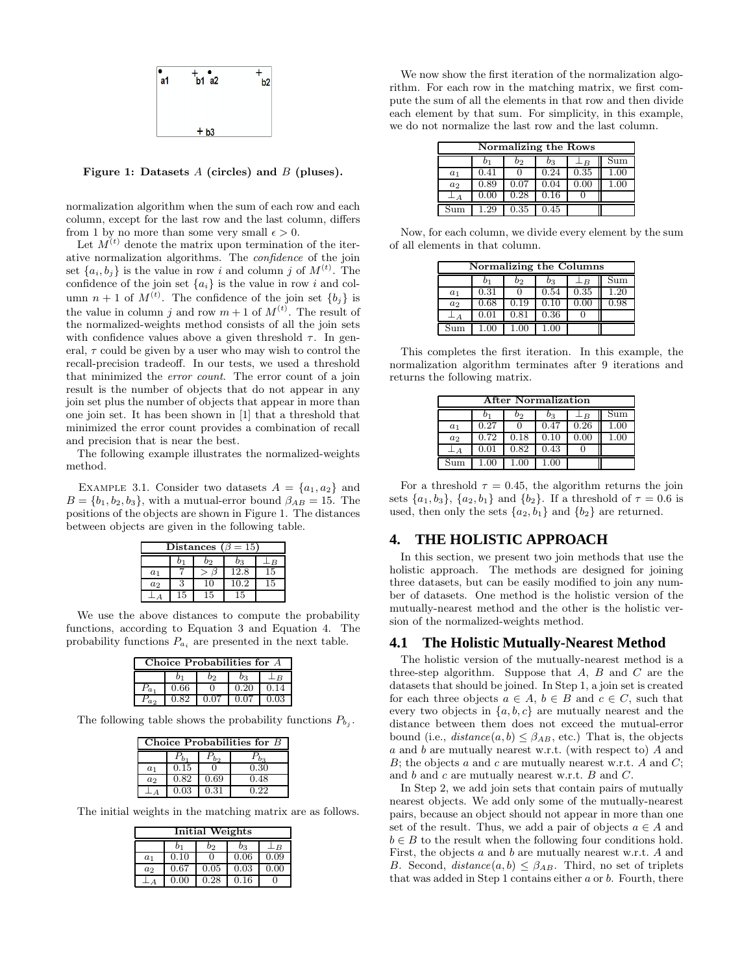

Figure 1: Datasets  $A$  (circles) and  $B$  (pluses).

normalization algorithm when the sum of each row and each column, except for the last row and the last column, differs from 1 by no more than some very small  $\epsilon > 0$ .

Let  $M^{(t)}$  denote the matrix upon termination of the iterative normalization algorithms. The confidence of the join set  $\{a_i, b_j\}$  is the value in row i and column j of  $M^{(t)}$ . The confidence of the join set  $\{a_i\}$  is the value in row i and column  $n + 1$  of  $M^{(t)}$ . The confidence of the join set  $\{b_j\}$  is the value in column j and row  $m+1$  of  $M^{(t)}$ . The result of the normalized-weights method consists of all the join sets with confidence values above a given threshold  $\tau$ . In general,  $\tau$  could be given by a user who may wish to control the recall-precision tradeoff. In our tests, we used a threshold that minimized the error count. The error count of a join result is the number of objects that do not appear in any join set plus the number of objects that appear in more than one join set. It has been shown in [1] that a threshold that minimized the error count provides a combination of recall and precision that is near the best.

The following example illustrates the normalized-weights method.

EXAMPLE 3.1. Consider two datasets  $A = \{a_1, a_2\}$  and  $B = \{b_1, b_2, b_3\}$ , with a mutual-error bound  $\beta_{AB} = 15$ . The positions of the objects are shown in Figure 1. The distances between objects are given in the following table.

| <b>Distances</b><br>$=15$ |   |   |      |    |  |  |  |
|---------------------------|---|---|------|----|--|--|--|
| OЗ<br>O2                  |   |   |      |    |  |  |  |
| a <sub>1</sub>            |   |   | 12.8 | 15 |  |  |  |
| $a_2$                     |   |   | 10.2 | 5  |  |  |  |
|                           | h | h | -5   |    |  |  |  |

We use the above distances to compute the probability functions, according to Equation 3 and Equation 4. The probability functions  $P_{a_i}$  are presented in the next table.

| Choice Probabilities for $A$ |          |      |      |      |  |  |
|------------------------------|----------|------|------|------|--|--|
|                              | nэ<br>פח |      |      |      |  |  |
|                              | 0.66     |      | 0.20 |      |  |  |
|                              | 0.82     | 0.07 | 0.07 | 0.03 |  |  |

The following table shows the probability functions  $P_{b_j}$ .

| Choice Probabilities for $B$ |      |      |      |  |  |
|------------------------------|------|------|------|--|--|
|                              |      |      |      |  |  |
| $a_1$                        | 0.15 |      | 0.30 |  |  |
| a <sub>2</sub>               | 0.82 | 0.69 | 0.48 |  |  |
|                              | 0.03 | 0.31 | 0.22 |  |  |

The initial weights in the matching matrix are as follows.

| <b>Initial Weights</b>             |      |      |      |      |  |  |  |
|------------------------------------|------|------|------|------|--|--|--|
| bз<br>O2<br>$\cdot$ $\overline{B}$ |      |      |      |      |  |  |  |
| a <sub>1</sub>                     | 0.10 |      | 0.06 | 0.09 |  |  |  |
| a <sub>2</sub>                     | 0.67 | 0.05 | 0.03 | 0.00 |  |  |  |
|                                    | 0.00 | 0.28 | 0.16 |      |  |  |  |

We now show the first iteration of the normalization algorithm. For each row in the matching matrix, we first compute the sum of all the elements in that row and then divide each element by that sum. For simplicity, in this example, we do not normalize the last row and the last column.

| Normalizing the Rows |                                                |      |      |      |      |  |  |  |
|----------------------|------------------------------------------------|------|------|------|------|--|--|--|
|                      | Sum<br>b <sub>2</sub><br>bз<br>$\perp$ B<br>01 |      |      |      |      |  |  |  |
| $a_1$                | 0.41                                           |      | 0.24 | 0.35 | 1.00 |  |  |  |
| a <sub>2</sub>       | 0.89                                           | 0.07 | 0.04 | 0.00 | 1.00 |  |  |  |
| $\perp$ A            | 0.00                                           | 0.28 | 0.16 |      |      |  |  |  |
| Sum                  | 1.29                                           | 0.35 | 0.45 |      |      |  |  |  |

Now, for each column, we divide every element by the sum of all elements in that column.

| Normalizing the Columns |      |      |       |           |      |  |
|-------------------------|------|------|-------|-----------|------|--|
|                         |      | b2   | $b_3$ | $\perp$ B | Sum  |  |
| a <sub>1</sub>          | 0.31 |      | 0.54  | 0.35      | 1.20 |  |
| a <sub>2</sub>          | 0.68 | 0.19 | 0.10  | 0.00      | 0.98 |  |
| $\perp$ A               | 0.01 | 0.81 | 0.36  |           |      |  |
| Sum                     | 1.00 | 1.00 | 1.00  |           |      |  |

This completes the first iteration. In this example, the normalization algorithm terminates after 9 iterations and returns the following matrix.

| After Normalization                          |      |      |      |      |           |  |  |
|----------------------------------------------|------|------|------|------|-----------|--|--|
| <b>Sum</b><br>b2<br>bз<br>$_{\perp_B}$<br>01 |      |      |      |      |           |  |  |
| a <sub>1</sub>                               | 0.27 |      | 0.47 | 0.26 | $1.00\,$  |  |  |
| a <sub>2</sub>                               | 0.72 | 0.18 | 0.10 | 0.00 | $_{1.00}$ |  |  |
| $\perp$ A                                    | 0.01 | 0.82 | 0.43 |      |           |  |  |
| Sum                                          | 1.00 | 1.00 | 1.00 |      |           |  |  |

For a threshold  $\tau = 0.45$ , the algorithm returns the join sets  $\{a_1, b_3\}, \{a_2, b_1\}$  and  $\{b_2\}$ . If a threshold of  $\tau = 0.6$  is used, then only the sets  $\{a_2, b_1\}$  and  $\{b_2\}$  are returned.

# **4. THE HOLISTIC APPROACH**

In this section, we present two join methods that use the holistic approach. The methods are designed for joining three datasets, but can be easily modified to join any number of datasets. One method is the holistic version of the mutually-nearest method and the other is the holistic version of the normalized-weights method.

## **4.1 The Holistic Mutually-Nearest Method**

The holistic version of the mutually-nearest method is a three-step algorithm. Suppose that  $A, B$  and  $C$  are the datasets that should be joined. In Step 1, a join set is created for each three objects  $a \in A$ ,  $b \in B$  and  $c \in C$ , such that every two objects in  $\{a, b, c\}$  are mutually nearest and the distance between them does not exceed the mutual-error bound (i.e.,  $distance(a, b) \leq \beta_{AB}$ , etc.) That is, the objects a and b are mutually nearest w.r.t. (with respect to) A and B; the objects a and c are mutually nearest w.r.t. A and  $C$ ; and b and c are mutually nearest w.r.t. B and C.

In Step 2, we add join sets that contain pairs of mutually nearest objects. We add only some of the mutually-nearest pairs, because an object should not appear in more than one set of the result. Thus, we add a pair of objects  $a \in A$  and  $b \in B$  to the result when the following four conditions hold. First, the objects a and b are mutually nearest w.r.t. A and B. Second,  $distance(a, b) \leq \beta_{AB}$ . Third, no set of triplets that was added in Step 1 contains either a or b. Fourth, there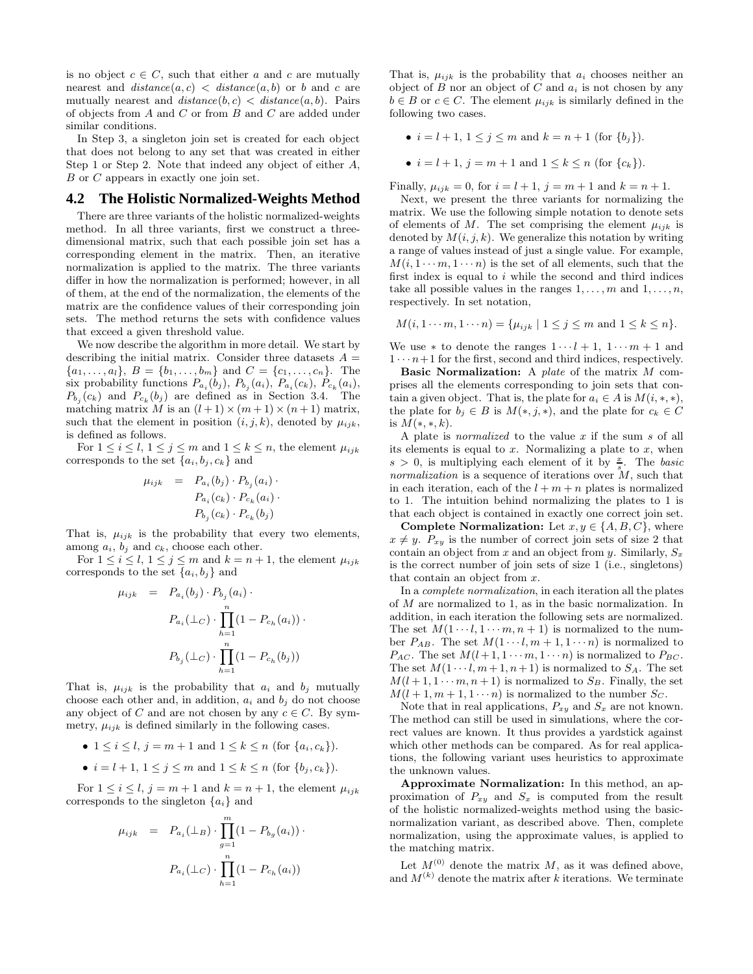is no object  $c \in C$ , such that either a and c are mutually nearest and  $distance(a, c) < distance(a, b)$  or b and c are mutually nearest and  $distance(b, c) < distance(a, b)$ . Pairs of objects from A and C or from B and C are added under similar conditions.

In Step 3, a singleton join set is created for each object that does not belong to any set that was created in either Step 1 or Step 2. Note that indeed any object of either A, B or C appears in exactly one join set.

## **4.2 The Holistic Normalized-Weights Method**

There are three variants of the holistic normalized-weights method. In all three variants, first we construct a threedimensional matrix, such that each possible join set has a corresponding element in the matrix. Then, an iterative normalization is applied to the matrix. The three variants differ in how the normalization is performed; however, in all of them, at the end of the normalization, the elements of the matrix are the confidence values of their corresponding join sets. The method returns the sets with confidence values that exceed a given threshold value.

We now describe the algorithm in more detail. We start by describing the initial matrix. Consider three datasets  $A =$  $\{a_1, \ldots, a_l\}, B = \{b_1, \ldots, b_m\}$  and  $C = \{c_1, \ldots, c_n\}.$  The six probability functions  $P_{a_i}(b_j)$ ,  $P_{b_j}(a_i)$ ,  $P_{a_i}(c_k)$ ,  $P_{c_k}(a_i)$ ,  $P_{b_j}(c_k)$  and  $P_{c_k}(b_j)$  are defined as in Section 3.4. The matching matrix M is an  $(l+1) \times (m+1) \times (n+1)$  matrix, such that the element in position  $(i, j, k)$ , denoted by  $\mu_{ijk}$ , is defined as follows.

For  $1 \leq i \leq l$ ,  $1 \leq j \leq m$  and  $1 \leq k \leq n$ , the element  $\mu_{ijk}$ corresponds to the set  $\{a_i, b_j, c_k\}$  and

$$
\mu_{ijk} = P_{a_i}(b_j) \cdot P_{b_j}(a_i) \cdot P_{a_i}(c_k) \cdot P_{c_k}(a_i) \cdot P_{b_j}(c_k) \cdot P_{c_k}(b_j)
$$

That is,  $\mu_{ijk}$  is the probability that every two elements, among  $a_i$ ,  $b_j$  and  $c_k$ , choose each other.

For  $1 \leq i \leq l$ ,  $1 \leq j \leq m$  and  $k = n + 1$ , the element  $\mu_{ijk}$ corresponds to the set  $\{a_i, b_j\}$  and

$$
\mu_{ijk} = P_{a_i}(b_j) \cdot P_{b_j}(a_i) \cdot P_{a_i}(L_C) \cdot \prod_{h=1}^n (1 - P_{c_h}(a_i)) \cdot P_{b_j}(L_C) \cdot \prod_{h=1}^n (1 - P_{c_h}(b_j))
$$

That is,  $\mu_{ijk}$  is the probability that  $a_i$  and  $b_j$  mutually choose each other and, in addition,  $a_i$  and  $b_j$  do not choose any object of C and are not chosen by any  $c \in C$ . By symmetry,  $\mu_{ijk}$  is defined similarly in the following cases.

- $1 \le i \le l, j = m + 1$  and  $1 \le k \le n$  (for  $\{a_i, c_k\}$ ).
- $i = l + 1, 1 \le j \le m$  and  $1 \le k \le n$  (for  $\{b_j, c_k\}$ ).

For  $1 \leq i \leq l$ ,  $j = m + 1$  and  $k = n + 1$ , the element  $\mu_{ijk}$ corresponds to the singleton  $\{a_i\}$  and

$$
\mu_{ijk} = P_{a_i}(\perp_B) \cdot \prod_{g=1}^m (1 - P_{b_g}(a_i)) \cdot P_{a_i}(\perp_C) \cdot \prod_{h=1}^n (1 - P_{c_h}(a_i))
$$

That is,  $\mu_{ijk}$  is the probability that  $a_i$  chooses neither an object of  $B$  nor an object of  $C$  and  $a_i$  is not chosen by any  $b \in B$  or  $c \in C$ . The element  $\mu_{iik}$  is similarly defined in the following two cases.

•  $i = l + 1, 1 \le j \le m$  and  $k = n + 1$  (for  $\{b_i\}$ ). •  $i = l + 1$ ,  $j = m + 1$  and  $1 \leq k \leq n$  (for  $\{c_k\}$ ).

Finally,  $\mu_{ijk} = 0$ , for  $i = l + 1$ ,  $j = m + 1$  and  $k = n + 1$ .

Next, we present the three variants for normalizing the matrix. We use the following simple notation to denote sets of elements of M. The set comprising the element  $\mu_{ijk}$  is denoted by  $M(i, j, k)$ . We generalize this notation by writing a range of values instead of just a single value. For example,  $M(i, 1 \cdots m, 1 \cdots n)$  is the set of all elements, such that the first index is equal to  $i$  while the second and third indices take all possible values in the ranges  $1, \ldots, m$  and  $1, \ldots, n$ , respectively. In set notation,

$$
M(i,1\cdots m,1\cdots n)=\{\mu_{ijk}\mid 1\leq j\leq m \text{ and } 1\leq k\leq n\}.
$$

We use  $*$  to denote the ranges  $1 \cdots l + 1$ ,  $1 \cdots m + 1$  and  $1 \cdots n+1$  for the first, second and third indices, respectively.

**Basic Normalization:** A plate of the matrix  $M$  comprises all the elements corresponding to join sets that contain a given object. That is, the plate for  $a_i \in A$  is  $M(i, *, *)$ , the plate for  $b_j \in B$  is  $M(*, j, *)$ , and the plate for  $c_k \in C$ is  $M(*,*,k)$ .

A plate is normalized to the value x if the sum s of all its elements is equal to  $x$ . Normalizing a plate to  $x$ , when  $s > 0$ , is multiplying each element of it by  $\frac{x}{s}$ . The basic normalization is a sequence of iterations over  $M$ , such that in each iteration, each of the  $l + m + n$  plates is normalized to 1. The intuition behind normalizing the plates to 1 is that each object is contained in exactly one correct join set.

Complete Normalization: Let  $x, y \in \{A, B, C\}$ , where  $x \neq y$ .  $P_{xy}$  is the number of correct join sets of size 2 that contain an object from x and an object from y. Similarly,  $S_x$ is the correct number of join sets of size 1 (i.e., singletons) that contain an object from x.

In a complete normalization, in each iteration all the plates of M are normalized to 1, as in the basic normalization. In addition, in each iteration the following sets are normalized. The set  $M(1 \cdots l, 1 \cdots m, n+1)$  is normalized to the number  $P_{AB}$ . The set  $M(1 \cdots l, m+1, 1 \cdots n)$  is normalized to  $P_{AC}$ . The set  $M(l+1, 1 \cdots m, 1 \cdots n)$  is normalized to  $P_{BC}$ . The set  $M(1 \cdots l, m+1, n+1)$  is normalized to  $S_A$ . The set  $M(l+1, 1 \cdots m, n+1)$  is normalized to  $S_B$ . Finally, the set  $M(l + 1, m + 1, 1 \cdots n)$  is normalized to the number  $S_C$ .

Note that in real applications,  $P_{xy}$  and  $S_x$  are not known. The method can still be used in simulations, where the correct values are known. It thus provides a yardstick against which other methods can be compared. As for real applications, the following variant uses heuristics to approximate the unknown values.

Approximate Normalization: In this method, an approximation of  $P_{xy}$  and  $S_x$  is computed from the result of the holistic normalized-weights method using the basicnormalization variant, as described above. Then, complete normalization, using the approximate values, is applied to the matching matrix.

Let  $M^{(0)}$  denote the matrix  $M$ , as it was defined above, and  $M^{(k)}$  denote the matrix after k iterations. We terminate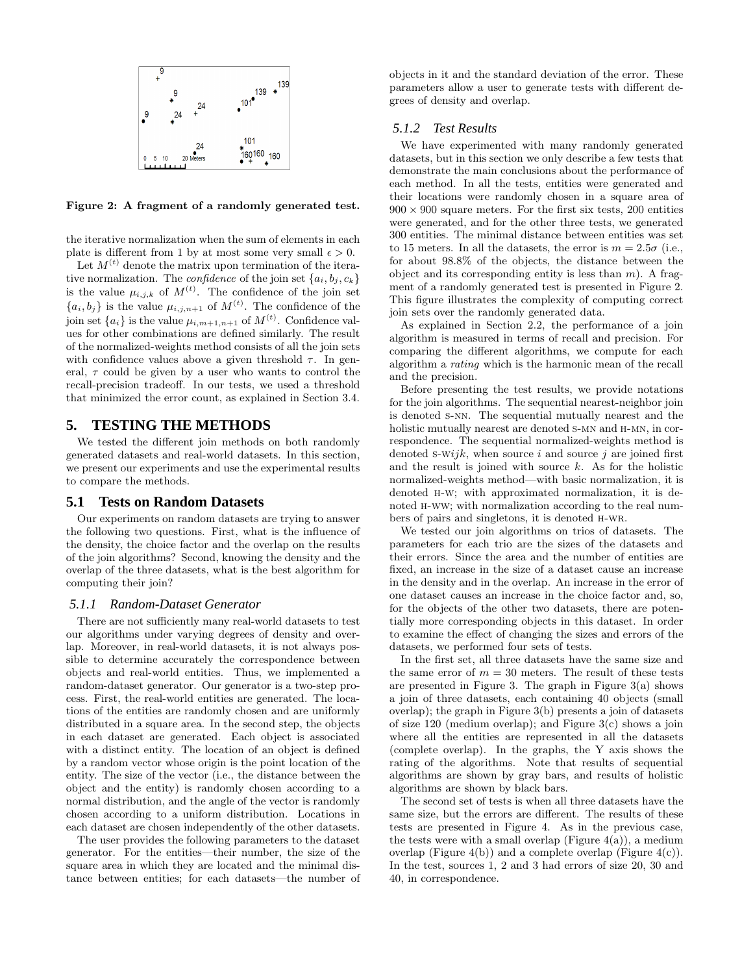

Figure 2: A fragment of a randomly generated test.

the iterative normalization when the sum of elements in each plate is different from 1 by at most some very small  $\epsilon > 0$ .

Let  $M^{(t)}$  denote the matrix upon termination of the iterative normalization. The *confidence* of the join set  $\{a_i, b_j, c_k\}$ is the value  $\mu_{i,j,k}$  of  $M^{(t)}$ . The confidence of the join set  ${a_i, b_j}$  is the value  $\mu_{i,j,n+1}$  of  $M^{(t)}$ . The confidence of the join set  $\{a_i\}$  is the value  $\mu_{i,m+1,n+1}$  of  $M^{(t)}$ . Confidence values for other combinations are defined similarly. The result of the normalized-weights method consists of all the join sets with confidence values above a given threshold  $\tau$ . In general,  $\tau$  could be given by a user who wants to control the recall-precision tradeoff. In our tests, we used a threshold that minimized the error count, as explained in Section 3.4.

# **5. TESTING THE METHODS**

We tested the different join methods on both randomly generated datasets and real-world datasets. In this section, we present our experiments and use the experimental results to compare the methods.

#### **5.1 Tests on Random Datasets**

Our experiments on random datasets are trying to answer the following two questions. First, what is the influence of the density, the choice factor and the overlap on the results of the join algorithms? Second, knowing the density and the overlap of the three datasets, what is the best algorithm for computing their join?

#### *5.1.1 Random-Dataset Generator*

There are not sufficiently many real-world datasets to test our algorithms under varying degrees of density and overlap. Moreover, in real-world datasets, it is not always possible to determine accurately the correspondence between objects and real-world entities. Thus, we implemented a random-dataset generator. Our generator is a two-step process. First, the real-world entities are generated. The locations of the entities are randomly chosen and are uniformly distributed in a square area. In the second step, the objects in each dataset are generated. Each object is associated with a distinct entity. The location of an object is defined by a random vector whose origin is the point location of the entity. The size of the vector (i.e., the distance between the object and the entity) is randomly chosen according to a normal distribution, and the angle of the vector is randomly chosen according to a uniform distribution. Locations in each dataset are chosen independently of the other datasets.

The user provides the following parameters to the dataset generator. For the entities—their number, the size of the square area in which they are located and the minimal distance between entities; for each datasets—the number of objects in it and the standard deviation of the error. These parameters allow a user to generate tests with different degrees of density and overlap.

#### *5.1.2 Test Results*

We have experimented with many randomly generated datasets, but in this section we only describe a few tests that demonstrate the main conclusions about the performance of each method. In all the tests, entities were generated and their locations were randomly chosen in a square area of  $900 \times 900$  square meters. For the first six tests, 200 entities were generated, and for the other three tests, we generated 300 entities. The minimal distance between entities was set to 15 meters. In all the datasets, the error is  $m = 2.5\sigma$  (i.e., for about 98.8% of the objects, the distance between the object and its corresponding entity is less than  $m$ ). A fragment of a randomly generated test is presented in Figure 2. This figure illustrates the complexity of computing correct join sets over the randomly generated data.

As explained in Section 2.2, the performance of a join algorithm is measured in terms of recall and precision. For comparing the different algorithms, we compute for each algorithm a rating which is the harmonic mean of the recall and the precision.

Before presenting the test results, we provide notations for the join algorithms. The sequential nearest-neighbor join is denoted s-nn. The sequential mutually nearest and the holistic mutually nearest are denoted S-MN and H-MN, in correspondence. The sequential normalized-weights method is denoted s-wijk, when source i and source j are joined first and the result is joined with source  $k$ . As for the holistic normalized-weights method—with basic normalization, it is denoted h-w; with approximated normalization, it is denoted h-ww; with normalization according to the real numbers of pairs and singletons, it is denoted h-wr.

We tested our join algorithms on trios of datasets. The parameters for each trio are the sizes of the datasets and their errors. Since the area and the number of entities are fixed, an increase in the size of a dataset cause an increase in the density and in the overlap. An increase in the error of one dataset causes an increase in the choice factor and, so, for the objects of the other two datasets, there are potentially more corresponding objects in this dataset. In order to examine the effect of changing the sizes and errors of the datasets, we performed four sets of tests.

In the first set, all three datasets have the same size and the same error of  $m = 30$  meters. The result of these tests are presented in Figure 3. The graph in Figure 3(a) shows a join of three datasets, each containing 40 objects (small overlap); the graph in Figure 3(b) presents a join of datasets of size 120 (medium overlap); and Figure 3(c) shows a join where all the entities are represented in all the datasets (complete overlap). In the graphs, the Y axis shows the rating of the algorithms. Note that results of sequential algorithms are shown by gray bars, and results of holistic algorithms are shown by black bars.

The second set of tests is when all three datasets have the same size, but the errors are different. The results of these tests are presented in Figure 4. As in the previous case, the tests were with a small overlap (Figure  $4(a)$ ), a medium overlap (Figure 4(b)) and a complete overlap (Figure 4(c)). In the test, sources 1, 2 and 3 had errors of size 20, 30 and 40, in correspondence.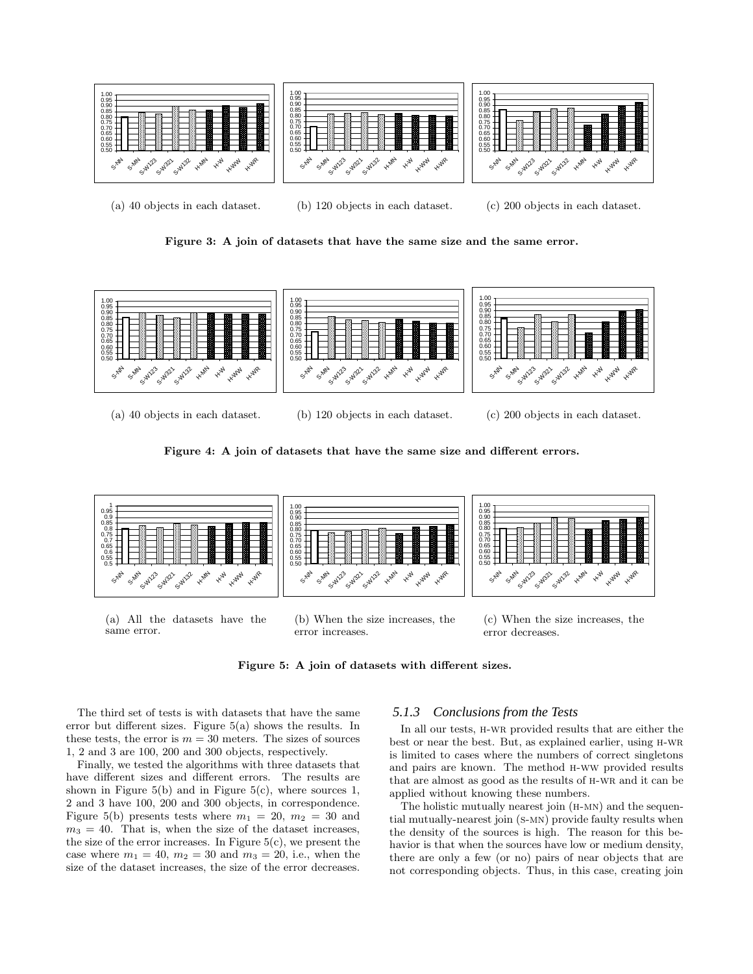





(a) 40 objects in each dataset.

(b) 120 objects in each dataset.

(c) 200 objects in each dataset.





(a) 40 objects in each dataset.

- (b) 120 objects in each dataset.
- (c) 200 objects in each dataset.





(a) All the datasets have the same error.

(b) When the size increases, the error increases.

(c) When the size increases, the error decreases.

Figure 5: A join of datasets with different sizes.

The third set of tests is with datasets that have the same error but different sizes. Figure 5(a) shows the results. In these tests, the error is  $m = 30$  meters. The sizes of sources 1, 2 and 3 are 100, 200 and 300 objects, respectively.

Finally, we tested the algorithms with three datasets that have different sizes and different errors. The results are shown in Figure  $5(b)$  and in Figure  $5(c)$ , where sources 1, 2 and 3 have 100, 200 and 300 objects, in correspondence. Figure 5(b) presents tests where  $m_1 = 20$ ,  $m_2 = 30$  and  $m_3 = 40$ . That is, when the size of the dataset increases, the size of the error increases. In Figure  $5(c)$ , we present the case where  $m_1 = 40, m_2 = 30$  and  $m_3 = 20$ , i.e., when the size of the dataset increases, the size of the error decreases.

#### *5.1.3 Conclusions from the Tests*

In all our tests, h-wr provided results that are either the best or near the best. But, as explained earlier, using h-wr is limited to cases where the numbers of correct singletons and pairs are known. The method h-ww provided results that are almost as good as the results of h-wr and it can be applied without knowing these numbers.

The holistic mutually nearest join  $(H-MN)$  and the sequential mutually-nearest join (s-mn) provide faulty results when the density of the sources is high. The reason for this behavior is that when the sources have low or medium density, there are only a few (or no) pairs of near objects that are not corresponding objects. Thus, in this case, creating join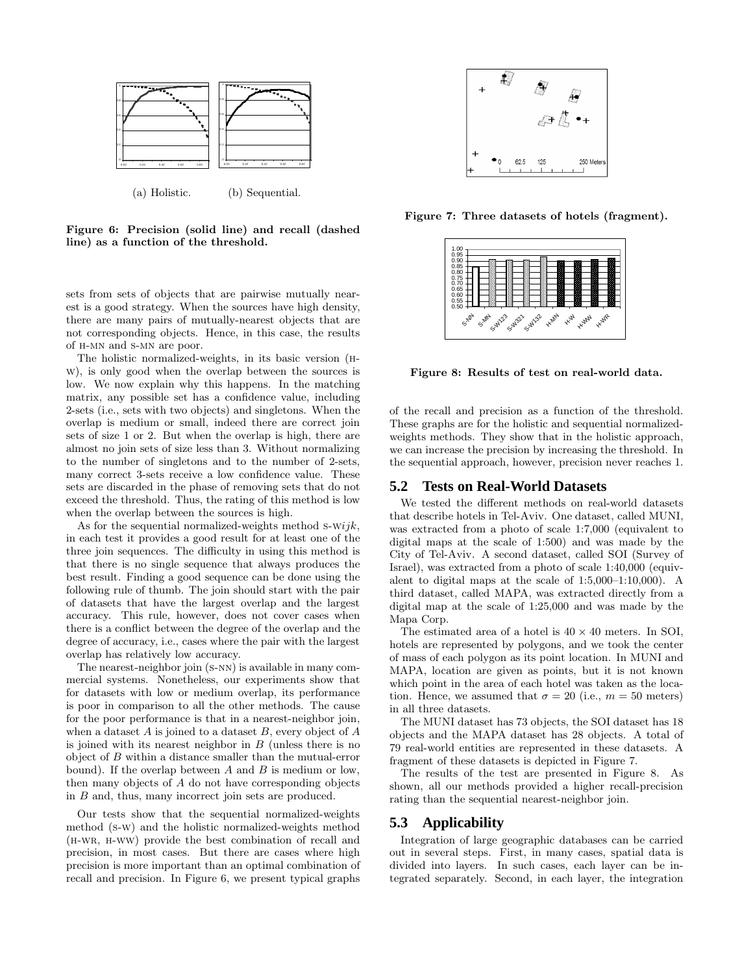

Figure 6: Precision (solid line) and recall (dashed line) as a function of the threshold.

sets from sets of objects that are pairwise mutually nearest is a good strategy. When the sources have high density, there are many pairs of mutually-nearest objects that are not corresponding objects. Hence, in this case, the results of h-mn and s-mn are poor.

The holistic normalized-weights, in its basic version (hw), is only good when the overlap between the sources is low. We now explain why this happens. In the matching matrix, any possible set has a confidence value, including 2-sets (i.e., sets with two objects) and singletons. When the overlap is medium or small, indeed there are correct join sets of size 1 or 2. But when the overlap is high, there are almost no join sets of size less than 3. Without normalizing to the number of singletons and to the number of 2-sets, many correct 3-sets receive a low confidence value. These sets are discarded in the phase of removing sets that do not exceed the threshold. Thus, the rating of this method is low when the overlap between the sources is high.

As for the sequential normalized-weights method  $s$ -wijk, in each test it provides a good result for at least one of the three join sequences. The difficulty in using this method is that there is no single sequence that always produces the best result. Finding a good sequence can be done using the following rule of thumb. The join should start with the pair of datasets that have the largest overlap and the largest accuracy. This rule, however, does not cover cases when there is a conflict between the degree of the overlap and the degree of accuracy, i.e., cases where the pair with the largest overlap has relatively low accuracy.

The nearest-neighbor join (s-nn) is available in many commercial systems. Nonetheless, our experiments show that for datasets with low or medium overlap, its performance is poor in comparison to all the other methods. The cause for the poor performance is that in a nearest-neighbor join, when a dataset  $A$  is joined to a dataset  $B$ , every object of  $A$ is joined with its nearest neighbor in  $B$  (unless there is no object of B within a distance smaller than the mutual-error bound). If the overlap between  $A$  and  $B$  is medium or low, then many objects of A do not have corresponding objects in B and, thus, many incorrect join sets are produced.

Our tests show that the sequential normalized-weights method (s-w) and the holistic normalized-weights method (h-wr, h-ww) provide the best combination of recall and precision, in most cases. But there are cases where high precision is more important than an optimal combination of recall and precision. In Figure 6, we present typical graphs



Figure 7: Three datasets of hotels (fragment).



Figure 8: Results of test on real-world data.

of the recall and precision as a function of the threshold. These graphs are for the holistic and sequential normalizedweights methods. They show that in the holistic approach, we can increase the precision by increasing the threshold. In the sequential approach, however, precision never reaches 1.

## **5.2 Tests on Real-World Datasets**

We tested the different methods on real-world datasets that describe hotels in Tel-Aviv. One dataset, called MUNI, was extracted from a photo of scale 1:7,000 (equivalent to digital maps at the scale of 1:500) and was made by the City of Tel-Aviv. A second dataset, called SOI (Survey of Israel), was extracted from a photo of scale 1:40,000 (equivalent to digital maps at the scale of 1:5,000–1:10,000). A third dataset, called MAPA, was extracted directly from a digital map at the scale of 1:25,000 and was made by the Mapa Corp.

The estimated area of a hotel is  $40 \times 40$  meters. In SOI, hotels are represented by polygons, and we took the center of mass of each polygon as its point location. In MUNI and MAPA, location are given as points, but it is not known which point in the area of each hotel was taken as the location. Hence, we assumed that  $\sigma = 20$  (i.e.,  $m = 50$  meters) in all three datasets.

The MUNI dataset has 73 objects, the SOI dataset has 18 objects and the MAPA dataset has 28 objects. A total of 79 real-world entities are represented in these datasets. A fragment of these datasets is depicted in Figure 7.

The results of the test are presented in Figure 8. As shown, all our methods provided a higher recall-precision rating than the sequential nearest-neighbor join.

## **5.3 Applicability**

Integration of large geographic databases can be carried out in several steps. First, in many cases, spatial data is divided into layers. In such cases, each layer can be integrated separately. Second, in each layer, the integration